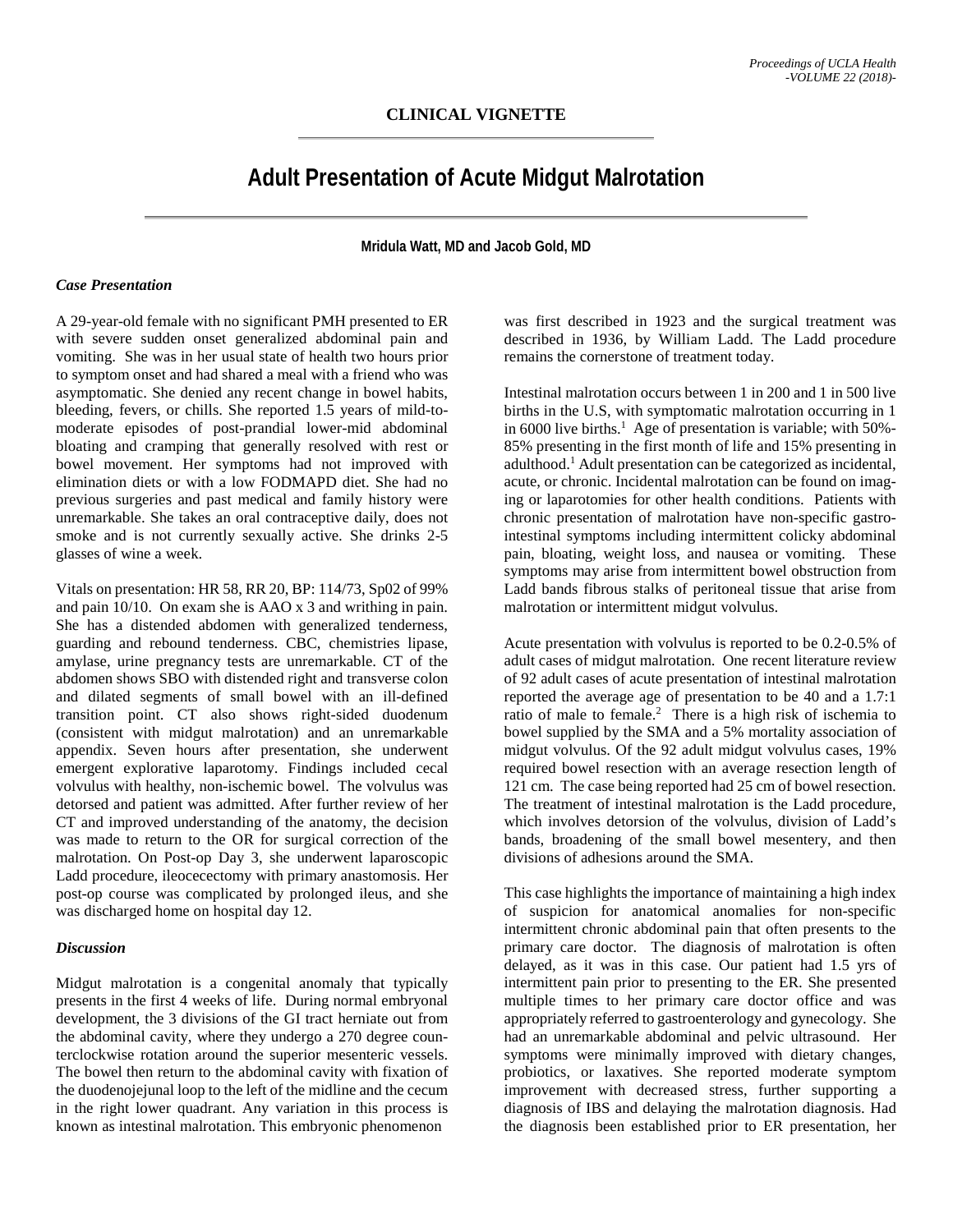## **CLINICAL VIGNETTE**

# **Adult Presentation of Acute Midgut Malrotation**

**Mridula Watt, MD and Jacob Gold, MD**

#### *Case Presentation*

A 29-year-old female with no significant PMH presented to ER with severe sudden onset generalized abdominal pain and vomiting. She was in her usual state of health two hours prior to symptom onset and had shared a meal with a friend who was asymptomatic. She denied any recent change in bowel habits, bleeding, fevers, or chills. She reported 1.5 years of mild-tomoderate episodes of post-prandial lower-mid abdominal bloating and cramping that generally resolved with rest or bowel movement. Her symptoms had not improved with elimination diets or with a low FODMAPD diet. She had no previous surgeries and past medical and family history were unremarkable. She takes an oral contraceptive daily, does not smoke and is not currently sexually active. She drinks 2-5 glasses of wine a week.

Vitals on presentation: HR 58, RR 20, BP: 114/73, Sp02 of 99% and pain 10/10. On exam she is AAO x 3 and writhing in pain. She has a distended abdomen with generalized tenderness, guarding and rebound tenderness. CBC, chemistries lipase, amylase, urine pregnancy tests are unremarkable. CT of the abdomen shows SBO with distended right and transverse colon and dilated segments of small bowel with an ill-defined transition point. CT also shows right-sided duodenum (consistent with midgut malrotation) and an unremarkable appendix. Seven hours after presentation, she underwent emergent explorative laparotomy. Findings included cecal volvulus with healthy, non-ischemic bowel. The volvulus was detorsed and patient was admitted. After further review of her CT and improved understanding of the anatomy, the decision was made to return to the OR for surgical correction of the malrotation. On Post-op Day 3, she underwent laparoscopic Ladd procedure, ileocecectomy with primary anastomosis. Her post-op course was complicated by prolonged ileus, and she was discharged home on hospital day 12.

#### *Discussion*

Midgut malrotation is a congenital anomaly that typically presents in the first 4 weeks of life. During normal embryonal development, the 3 divisions of the GI tract herniate out from the abdominal cavity, where they undergo a 270 degree counterclockwise rotation around the superior mesenteric vessels. The bowel then return to the abdominal cavity with fixation of the duodenojejunal loop to the left of the midline and the cecum in the right lower quadrant. Any variation in this process is known as intestinal malrotation. This embryonic phenomenon

was first described in 1923 and the surgical treatment was described in 1936, by William Ladd. The Ladd procedure remains the cornerstone of treatment today.

Intestinal malrotation occurs between 1 in 200 and 1 in 500 live births in the U.S, with symptomatic malrotation occurring in 1 in 6000 live births.<sup>1</sup> Age of presentation is variable; with 50%-85% presenting in the first month of life and 15% presenting in adulthood.1 Adult presentation can be categorized as incidental, acute, or chronic. Incidental malrotation can be found on imaging or laparotomies for other health conditions. Patients with chronic presentation of malrotation have non-specific gastrointestinal symptoms including intermittent colicky abdominal pain, bloating, weight loss, and nausea or vomiting. These symptoms may arise from intermittent bowel obstruction from Ladd bands fibrous stalks of peritoneal tissue that arise from malrotation or intermittent midgut volvulus.

Acute presentation with volvulus is reported to be 0.2-0.5% of adult cases of midgut malrotation. One recent literature review of 92 adult cases of acute presentation of intestinal malrotation reported the average age of presentation to be 40 and a 1.7:1 ratio of male to female.<sup>2</sup> There is a high risk of ischemia to bowel supplied by the SMA and a 5% mortality association of midgut volvulus. Of the 92 adult midgut volvulus cases, 19% required bowel resection with an average resection length of 121 cm. The case being reported had 25 cm of bowel resection. The treatment of intestinal malrotation is the Ladd procedure, which involves detorsion of the volvulus, division of Ladd's bands, broadening of the small bowel mesentery, and then divisions of adhesions around the SMA.

This case highlights the importance of maintaining a high index of suspicion for anatomical anomalies for non-specific intermittent chronic abdominal pain that often presents to the primary care doctor. The diagnosis of malrotation is often delayed, as it was in this case. Our patient had 1.5 yrs of intermittent pain prior to presenting to the ER. She presented multiple times to her primary care doctor office and was appropriately referred to gastroenterology and gynecology. She had an unremarkable abdominal and pelvic ultrasound. Her symptoms were minimally improved with dietary changes, probiotics, or laxatives. She reported moderate symptom improvement with decreased stress, further supporting a diagnosis of IBS and delaying the malrotation diagnosis. Had the diagnosis been established prior to ER presentation, her